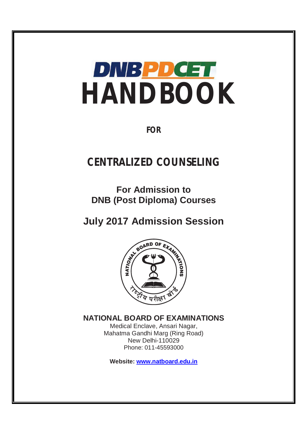

**FOR** 

# **CENTRALIZED COUNSELING**

**For Admission to DNB (Post Diploma) Courses** 



**NATIONAL BOARD OF EXAMINATIONS**

Medical Enclave, Ansari Nagar, Mahatma Gandhi Marg (Ring Road) New Delhi-110029 Phone: 011-45593000

**Website: www.natboard.edu.in**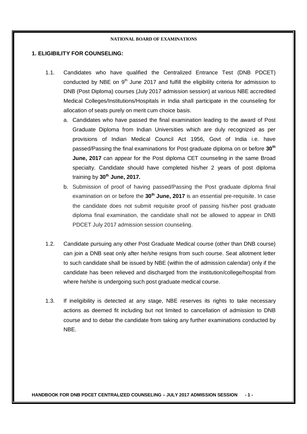## **1. ELIGIBILITY FOR COUNSELING:**

- 1.1. Candidates who have qualified the Centralized Entrance Test (DNB PDCET) conducted by NBE on  $9<sup>th</sup>$  June 2017 and fulfill the eligibility criteria for admission to DNB (Post Diploma) courses (July 2017 admission session) at various NBE accredited Medical Colleges/Institutions/Hospitals in India shall participate in the counseling for allocation of seats purely on merit cum choice basis.
	- a. Candidates who have passed the final examination leading to the award of Post Graduate Diploma from Indian Universities which are duly recognized as per provisions of Indian Medical Council Act 1956, Govt of India i.e. have passed/Passing the final examinations for Post graduate diploma on or before **30th June, 2017** can appear for the Post diploma CET counseling in the same Broad specialty. Candidate should have completed his/her 2 years of post diploma training by **30th June, 2017.**
	- b. Submission of proof of having passed/Passing the Post graduate diploma final examination on or before the **30th June, 2017** is an essential pre-requisite. In case the candidate does not submit requisite proof of passing his/her post graduate diploma final examination, the candidate shall not be allowed to appear in DNB PDCET July 2017 admission session counseling.
- 1.2. Candidate pursuing any other Post Graduate Medical course (other than DNB course) can join a DNB seat only after he/she resigns from such course. Seat allotment letter to such candidate shall be issued by NBE (within the of admission calendar) only if the candidate has been relieved and discharged from the institution/college/hospital from where he/she is undergoing such post graduate medical course.
- 1.3. If ineligibility is detected at any stage, NBE reserves its rights to take necessary actions as deemed fit including but not limited to cancellation of admission to DNB course and to debar the candidate from taking any further examinations conducted by NBE.

**HANDBOOK FOR DNB PDCET CENTRALIZED COUNSELING – JULY 2017 ADMISSION SESSION - 1 -**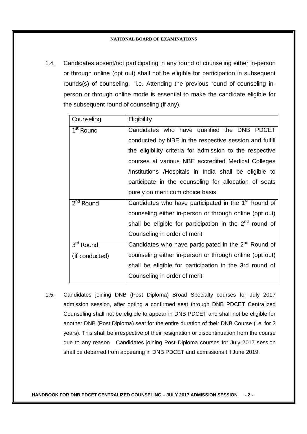1.4. Candidates absent/not participating in any round of counseling either in-person or through online (opt out) shall not be eligible for participation in subsequent rounds(s) of counseling. i.e. Attending the previous round of counseling inperson or through online mode is essential to make the candidate eligible for the subsequent round of counseling (if any).

| Counseling            | Eligibility                                                      |
|-----------------------|------------------------------------------------------------------|
| $1st$ Round           | Candidates who have qualified the DNB PDCET                      |
|                       | conducted by NBE in the respective session and fulfill           |
|                       | the eligibility criteria for admission to the respective         |
|                       | courses at various NBE accredited Medical Colleges               |
|                       | /Institutions /Hospitals in India shall be eligible to           |
|                       | participate in the counseling for allocation of seats            |
|                       | purely on merit cum choice basis.                                |
| $2nd$ Round           | Candidates who have participated in the 1 <sup>st</sup> Round of |
|                       | counseling either in-person or through online (opt out)          |
|                       | shall be eligible for participation in the $2^{nd}$ round of     |
|                       | Counseling in order of merit.                                    |
| 3 <sup>rd</sup> Round | Candidates who have participated in the 2 <sup>nd</sup> Round of |
| (if conducted)        | counseling either in-person or through online (opt out)          |
|                       | shall be eligible for participation in the 3rd round of          |
|                       | Counseling in order of merit.                                    |
|                       |                                                                  |

1.5. Candidates joining DNB (Post Diploma) Broad Specialty courses for July 2017 admission session, after opting a confirmed seat through DNB PDCET Centralized Counseling shall not be eligible to appear in DNB PDCET and shall not be eligible for another DNB (Post Diploma) seat for the entire duration of their DNB Course (i.e. for 2 years). This shall be irrespective of their resignation or discontinuation from the course due to any reason. Candidates joining Post Diploma courses for July 2017 session shall be debarred from appearing in DNB PDCET and admissions till June 2019.

**HANDBOOK FOR DNB PDCET CENTRALIZED COUNSELING – JULY 2017 ADMISSION SESSION - 2 -**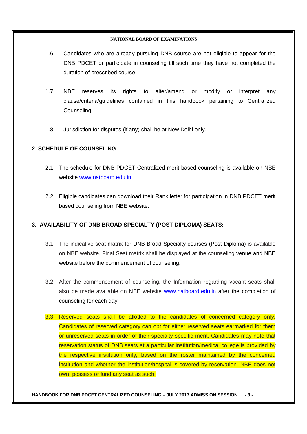- 1.6. Candidates who are already pursuing DNB course are not eligible to appear for the DNB PDCET or participate in counseling till such time they have not completed the duration of prescribed course.
- 1.7. NBE reserves its rights to alter/amend or modify or interpret any clause/criteria/guidelines contained in this handbook pertaining to Centralized Counseling.
- 1.8. Jurisdiction for disputes (if any) shall be at New Delhi only.

## **2. SCHEDULE OF COUNSELING:**

- 2.1 The schedule for DNB PDCET Centralized merit based counseling is available on NBE website www.natboard.edu.in
- 2.2 Eligible candidates can download their Rank letter for participation in DNB PDCET merit based counseling from NBE website.

## **3. AVAILABILITY OF DNB BROAD SPECIALTY (POST DIPLOMA) SEATS:**

- 3.1 The indicative seat matrix for DNB Broad Specialty courses (Post Diploma) is available on NBE website. Final Seat matrix shall be displayed at the counseling venue and NBE website before the commencement of counseling.
- 3.2 After the commencement of counseling, the Information regarding vacant seats shall also be made available on NBE website www.natboard.edu.in after the completion of counseling for each day.
- 3.3 Reserved seats shall be allotted to the candidates of concerned category only. Candidates of reserved category can opt for either reserved seats earmarked for them or unreserved seats in order of their specialty specific merit. Candidates may note that reservation status of DNB seats at a particular institution/medical college is provided by the respective institution only, based on the roster maintained by the concerned institution and whether the institution/hospital is covered by reservation. NBE does not own, possess or fund any seat as such.

**HANDBOOK FOR DNB PDCET CENTRALIZED COUNSELING – JULY 2017 ADMISSION SESSION - 3 -**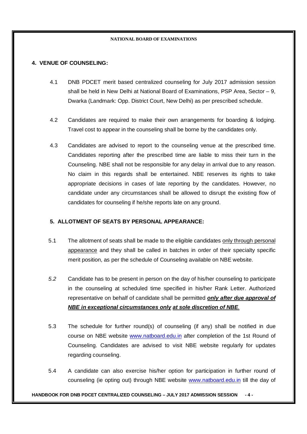## **4. VENUE OF COUNSELING:**

- 4.1 DNB PDCET merit based centralized counseling for July 2017 admission session shall be held in New Delhi at National Board of Examinations, PSP Area, Sector – 9, Dwarka (Landmark: Opp. District Court, New Delhi) as per prescribed schedule.
- 4.2 Candidates are required to make their own arrangements for boarding & lodging. Travel cost to appear in the counseling shall be borne by the candidates only.
- 4.3 Candidates are advised to report to the counseling venue at the prescribed time. Candidates reporting after the prescribed time are liable to miss their turn in the Counseling. NBE shall not be responsible for any delay in arrival due to any reason. No claim in this regards shall be entertained. NBE reserves its rights to take appropriate decisions in cases of late reporting by the candidates. However, no candidate under any circumstances shall be allowed to disrupt the existing flow of candidates for counseling if he/she reports late on any ground.

## **5. ALLOTMENT OF SEATS BY PERSONAL APPEARANCE:**

- 5.1 The allotment of seats shall be made to the eligible candidates only through personal appearance and they shall be called in batches in order of their specialty specific merit position, as per the schedule of Counseling available on NBE website.
- *5.2* Candidate has to be present in person on the day of his/her counseling to participate in the counseling at scheduled time specified in his/her Rank Letter. Authorized representative on behalf of candidate shall be permitted *only after due approval of NBE in exceptional circumstances only at sole discretion of NBE.*
- 5.3 The schedule for further round(s) of counseling (if any) shall be notified in due course on NBE website www.natboard.edu.in after completion of the 1st Round of Counseling. Candidates are advised to visit NBE website regularly for updates regarding counseling.
- 5.4 A candidate can also exercise his/her option for participation in further round of counseling (ie opting out) through NBE website www.natboard.edu.in till the day of

## **HANDBOOK FOR DNB PDCET CENTRALIZED COUNSELING – JULY 2017 ADMISSION SESSION - 4 -**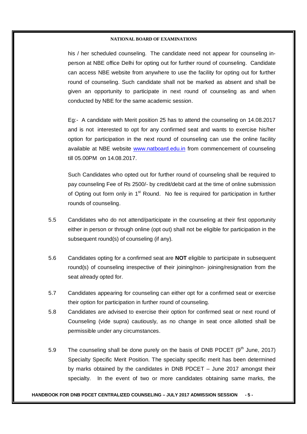his / her scheduled counseling. The candidate need not appear for counseling inperson at NBE office Delhi for opting out for further round of counseling. Candidate can access NBE website from anywhere to use the facility for opting out for further round of counseling. Such candidate shall not be marked as absent and shall be given an opportunity to participate in next round of counseling as and when conducted by NBE for the same academic session.

Eg:- A candidate with Merit position 25 has to attend the counseling on 14.08.2017 and is not interested to opt for any confirmed seat and wants to exercise his/her option for participation in the next round of counseling can use the online facility available at NBE website www.natboard.edu.in from commencement of counseling till 05.00PM on 14.08.2017.

Such Candidates who opted out for further round of counseling shall be required to pay counseling Fee of Rs 2500/- by credit/debit card at the time of online submission of Opting out form only in 1<sup>st</sup> Round. No fee is required for participation in further rounds of counseling.

- 5.5 Candidates who do not attend/participate in the counseling at their first opportunity either in person or through online (opt out) shall not be eligible for participation in the subsequent round(s) of counseling (if any).
- 5.6 Candidates opting for a confirmed seat are **NOT** eligible to participate in subsequent round(s) of counseling irrespective of their joining/non- joining/resignation from the seat already opted for.
- 5.7 Candidates appearing for counseling can either opt for a confirmed seat or exercise their option for participation in further round of counseling.
- 5.8 Candidates are advised to exercise their option for confirmed seat or next round of Counseling (vide supra) cautiously, as no change in seat once allotted shall be permissible under any circumstances.
- 5.9 The counseling shall be done purely on the basis of DNB PDCET  $(9<sup>th</sup>$  June, 2017) Specialty Specific Merit Position. The specialty specific merit has been determined by marks obtained by the candidates in DNB PDCET – June 2017 amongst their specialty. In the event of two or more candidates obtaining same marks, the

#### **HANDBOOK FOR DNB PDCET CENTRALIZED COUNSELING – JULY 2017 ADMISSION SESSION - 5 -**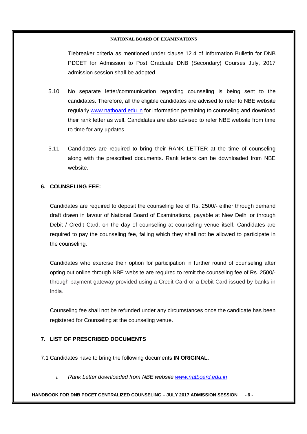Tiebreaker criteria as mentioned under clause 12.4 of Information Bulletin for DNB PDCET for Admission to Post Graduate DNB (Secondary) Courses July, 2017 admission session shall be adopted.

- 5.10 No separate letter/communication regarding counseling is being sent to the candidates. Therefore, all the eligible candidates are advised to refer to NBE website regularly www.natboard.edu.in for information pertaining to counseling and download their rank letter as well. Candidates are also advised to refer NBE website from time to time for any updates.
- 5.11 Candidates are required to bring their RANK LETTER at the time of counseling along with the prescribed documents. Rank letters can be downloaded from NBE website.

## **6. COUNSELING FEE:**

Candidates are required to deposit the counseling fee of Rs. 2500/- either through demand draft drawn in favour of National Board of Examinations, payable at New Delhi or through Debit / Credit Card, on the day of counseling at counseling venue itself. Candidates are required to pay the counseling fee, failing which they shall not be allowed to participate in the counseling.

Candidates who exercise their option for participation in further round of counseling after opting out online through NBE website are required to remit the counseling fee of Rs. 2500/ through payment gateway provided using a Credit Card or a Debit Card issued by banks in India.

Counseling fee shall not be refunded under any circumstances once the candidate has been registered for Counseling at the counseling venue.

## **7. LIST OF PRESCRIBED DOCUMENTS**

7.1 Candidates have to bring the following documents **IN ORIGINAL**.

*i. Rank Letter downloaded from NBE website www.natboard.edu.in* 

## **HANDBOOK FOR DNB PDCET CENTRALIZED COUNSELING – JULY 2017 ADMISSION SESSION - 6 -**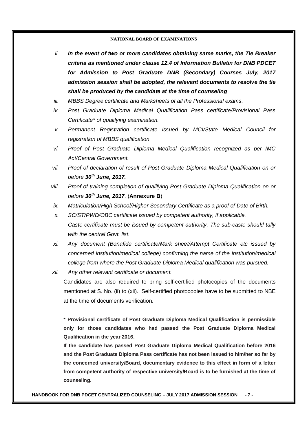- *ii. In the event of two or more candidates obtaining same marks, the Tie Breaker criteria as mentioned under clause 12.4 of Information Bulletin for DNB PDCET for Admission to Post Graduate DNB (Secondary) Courses July, 2017 admission session shall be adopted, the relevant documents to resolve the tie shall be produced by the candidate at the time of counseling*
- *iii. MBBS Degree certificate and Marksheets of all the Professional exams.*
- *iv. Post Graduate Diploma Medical Qualification Pass certificate/Provisional Pass Certificate\* of qualifying examination.*
- *v. Permanent Registration certificate issued by MCI/State Medical Council for registration of MBBS qualification.*
- *vi. Proof of Post Graduate Diploma Medical Qualification recognized as per IMC Act/Central Government.*
- *vii. Proof of declaration of result of Post Graduate Diploma Medical Qualification on or before 30 th June, 2017.*
- *viii. Proof of training completion of qualifying Post Graduate Diploma Qualification on or before 30th June, 2017*. (**Annexure B**)
- *ix. Matriculation/High School/Higher Secondary Certificate as a proof of Date of Birth.*
- *x. SC/ST/PWD/OBC certificate issued by competent authority, if applicable. Caste certificate must be issued by competent authority. The sub-caste should tally with the central Govt. list.*
- *xi. Any document (Bonafide certificate/Mark sheet/Attempt Certificate etc issued by concerned institution/medical college) confirming the name of the institution/medical college from where the Post Graduate Diploma Medical qualification was pursued.*
- *xii. Any other relevant certificate or document.*

Candidates are also required to bring self-certified photocopies of the documents mentioned at S. No. (ii) to (xii). Self-certified photocopies have to be submitted to NBE at the time of documents verification.

\* **Provisional certificate of Post Graduate Diploma Medical Qualification is permissible only for those candidates who had passed the Post Graduate Diploma Medical Qualification in the year 2016.** 

**If the candidate has passed Post Graduate Diploma Medical Qualification before 2016 and the Post Graduate Diploma Pass certificate has not been issued to him/her so far by the concerned university/Board, documentary evidence to this effect in form of a letter from competent authority of respective university/Board is to be furnished at the time of counseling.**

**HANDBOOK FOR DNB PDCET CENTRALIZED COUNSELING – JULY 2017 ADMISSION SESSION - 7 -**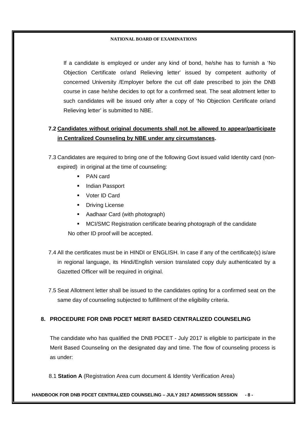If a candidate is employed or under any kind of bond, he/she has to furnish a 'No Objection Certificate or/and Relieving letter' issued by competent authority of concerned University /Employer before the cut off date prescribed to join the DNB course in case he/she decides to opt for a confirmed seat. The seat allotment letter to such candidates will be issued only after a copy of 'No Objection Certificate or/and Relieving letter' is submitted to NBE.

# **7.2 Candidates without original documents shall not be allowed to appear/participate in Centralized Counseling by NBE under any circumstances.**

7.3 Candidates are required to bring one of the following Govt issued valid Identity card (nonexpired) in original at the time of counseling:

- **PAN card**
- **Indian Passport**
- Voter ID Card
- **•** Driving License
- Aadhaar Card (with photograph)
- MCI/SMC Registration certificate bearing photograph of the candidate
- No other ID proof will be accepted.
- 7.4 All the certificates must be in HINDI or ENGLISH. In case if any of the certificate(s) is/are in regional language, its Hindi/English version translated copy duly authenticated by a Gazetted Officer will be required in original.
- 7.5 Seat Allotment letter shall be issued to the candidates opting for a confirmed seat on the same day of counseling subjected to fulfillment of the eligibility criteria.

## **8. PROCEDURE FOR DNB PDCET MERIT BASED CENTRALIZED COUNSELING**

The candidate who has qualified the DNB PDCET - July 2017 is eligible to participate in the Merit Based Counseling on the designated day and time. The flow of counseling process is as under:

8.1 **Station A** (Registration Area cum document & Identity Verification Area)

## **HANDBOOK FOR DNB PDCET CENTRALIZED COUNSELING – JULY 2017 ADMISSION SESSION - 8 -**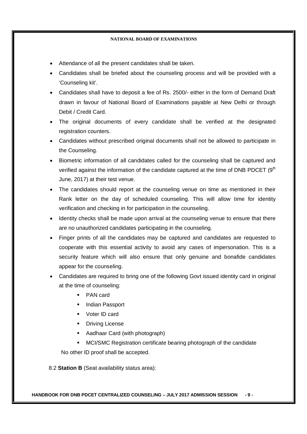- Attendance of all the present candidates shall be taken.
- Candidates shall be briefed about the counseling process and will be provided with a 'Counseling kit'.
- Candidates shall have to deposit a fee of Rs. 2500/- either in the form of Demand Draft drawn in favour of National Board of Examinations payable at New Delhi or through Debit / Credit Card.
- The original documents of every candidate shall be verified at the designated registration counters.
- Candidates without prescribed original documents shall not be allowed to participate in the Counseling.
- Biometric information of all candidates called for the counseling shall be captured and verified against the information of the candidate captured at the time of DNB PDCET (9<sup>th</sup> June, 2017) at their test venue.
- The candidates should report at the counseling venue on time as mentioned in their Rank letter on the day of scheduled counseling. This will allow time for identity verification and checking in for participation in the counseling.
- Identity checks shall be made upon arrival at the counseling venue to ensure that there are no unauthorized candidates participating in the counseling.
- Finger prints of all the candidates may be captured and candidates are requested to cooperate with this essential activity to avoid any cases of impersonation. This is a security feature which will also ensure that only genuine and bonafide candidates appear for the counseling.
- Candidates are required to bring one of the following Govt issued identity card in original at the time of counseling:
	- PAN card
	- **Indian Passport**
	- Voter ID card
	- **•** Driving License
	- Aadhaar Card (with photograph)
	- MCI/SMC Registration certificate bearing photograph of the candidate

No other ID proof shall be accepted.

8.2 **Station B** (Seat availability status area):

**HANDBOOK FOR DNB PDCET CENTRALIZED COUNSELING – JULY 2017 ADMISSION SESSION - 9 -**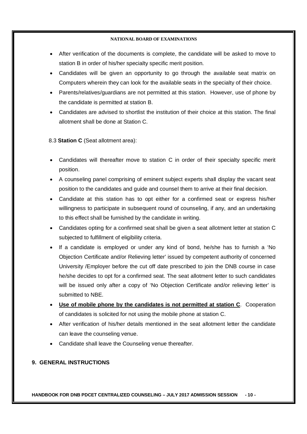- After verification of the documents is complete, the candidate will be asked to move to station B in order of his/her specialty specific merit position.
- Candidates will be given an opportunity to go through the available seat matrix on Computers wherein they can look for the available seats in the specialty of their choice.
- Parents/relatives/guardians are not permitted at this station. However, use of phone by the candidate is permitted at station B.
- Candidates are advised to shortlist the institution of their choice at this station. The final allotment shall be done at Station C.

8.3 **Station C** (Seat allotment area):

- Candidates will thereafter move to station C in order of their specialty specific merit position.
- A counseling panel comprising of eminent subject experts shall display the vacant seat position to the candidates and guide and counsel them to arrive at their final decision.
- Candidate at this station has to opt either for a confirmed seat or express his/her willingness to participate in subsequent round of counseling, if any, and an undertaking to this effect shall be furnished by the candidate in writing.
- Candidates opting for a confirmed seat shall be given a seat allotment letter at station C subjected to fulfillment of eligibility criteria.
- If a candidate is employed or under any kind of bond, he/she has to furnish a 'No Objection Certificate and/or Relieving letter' issued by competent authority of concerned University /Employer before the cut off date prescribed to join the DNB course in case he/she decides to opt for a confirmed seat. The seat allotment letter to such candidates will be issued only after a copy of 'No Objection Certificate and/or relieving letter' is submitted to NBE.
- **Use of mobile phone by the candidates is not permitted at station C**. Cooperation of candidates is solicited for not using the mobile phone at station C.
- After verification of his/her details mentioned in the seat allotment letter the candidate can leave the counseling venue.
- Candidate shall leave the Counseling venue thereafter.

## **9. GENERAL INSTRUCTIONS**

**HANDBOOK FOR DNB PDCET CENTRALIZED COUNSELING – JULY 2017 ADMISSION SESSION - 10 -**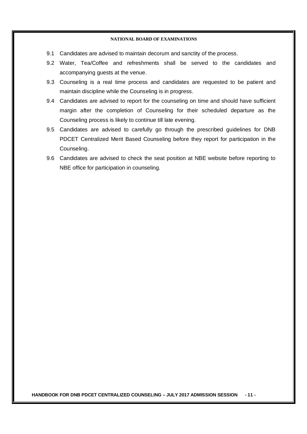- 9.1 Candidates are advised to maintain decorum and sanctity of the process.
- 9.2 Water, Tea/Coffee and refreshments shall be served to the candidates and accompanying guests at the venue.
- 9.3 Counseling is a real time process and candidates are requested to be patient and maintain discipline while the Counseling is in progress.
- 9.4 Candidates are advised to report for the counseling on time and should have sufficient margin after the completion of Counseling for their scheduled departure as the Counseling process is likely to continue till late evening.
- 9.5 Candidates are advised to carefully go through the prescribed guidelines for DNB PDCET Centralized Merit Based Counseling before they report for participation in the Counseling.
- 9.6 Candidates are advised to check the seat position at NBE website before reporting to NBE office for participation in counseling.

**HANDBOOK FOR DNB PDCET CENTRALIZED COUNSELING – JULY 2017 ADMISSION SESSION - 11 -**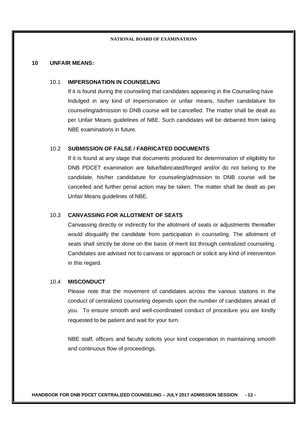### **10 UNFAIR MEANS:**

## 10.1 **IMPERSONATION IN COUNSELING**

If it is found during the counseling that candidates appearing in the Counseling have Indulged in any kind of impersonation or unfair means, his/her candidature for counseling/admission to DNB course will be cancelled. The matter shall be dealt as per Unfair Means guidelines of NBE. Such candidates will be debarred from taking NBE examinations in future.

#### 10.2 **SUBMISSION OF FALSE / FABRICATED DOCUMENTS**

If it is found at any stage that documents produced for determination of eligibility for DNB PDCET examination are false/fabricated/forged and/or do not belong to the candidate, his/her candidature for counseling/admission to DNB course will be cancelled and further penal action may be taken. The matter shall be dealt as per Unfair Means guidelines of NBE.

## 10.3 **CANVASSING FOR ALLOTMENT OF SEATS**

Canvassing directly or indirectly for the allotment of seats or adjustments thereafter would disqualify the candidate from participation in counseling. The allotment of seats shall strictly be done on the basis of merit list through centralized counseling. Candidates are advised not to canvass or approach or solicit any kind of intervention in this regard.

## 10.4 **MISCONDUCT**

Please note that the movement of candidates across the various stations in the conduct of centralized counseling depends upon the number of candidates ahead of you. To ensure smooth and well-coordinated conduct of procedure you are kindly requested to be patient and wait for your turn.

NBE staff, officers and faculty solicits your kind cooperation in maintaining smooth and continuous flow of proceedings.

**HANDBOOK FOR DNB PDCET CENTRALIZED COUNSELING – JULY 2017 ADMISSION SESSION - 12 -**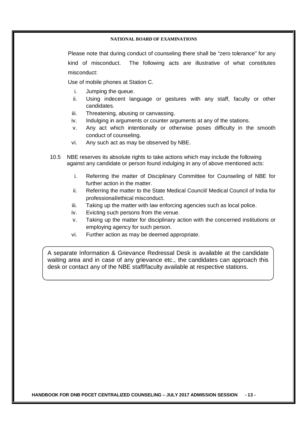Please note that during conduct of counseling there shall be "zero tolerance" for any kind of misconduct. The following acts are illustrative of what constitutes misconduct:

Use of mobile phones at Station C.

- i. Jumping the queue.
- ii. Using indecent language or gestures with any staff, faculty or other candidates.
- iii. Threatening, abusing or canvassing.
- iv. Indulging in arguments or counter arguments at any of the stations.
- v. Any act which intentionally or otherwise poses difficulty in the smooth conduct of counseling.
- vi. Any such act as may be observed by NBE.
- 10.5 NBE reserves its absolute rights to take actions which may include the following against any candidate or person found indulging in any of above mentioned acts:
	- i. Referring the matter of Disciplinary Committee for Counseling of NBE for further action in the matter.
	- ii. Referring the matter to the State Medical Council/ Medical Council of India for professional/ethical misconduct.
	- iii. Taking up the matter with law enforcing agencies such as local police.
	- iv. Evicting such persons from the venue.
	- v. Taking up the matter for disciplinary action with the concerned institutions or employing agency for such person.
	- vi. Further action as may be deemed appropriate.

A separate Information & Grievance Redressal Desk is available at the candidate waiting area and in case of any grievance etc., the candidates can approach this desk or contact any of the NBE staff/faculty available at respective stations.

**HANDBOOK FOR DNB PDCET CENTRALIZED COUNSELING – JULY 2017 ADMISSION SESSION - 13 -**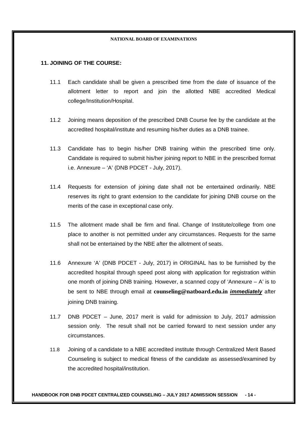## **11. JOINING OF THE COURSE:**

- 11.1 Each candidate shall be given a prescribed time from the date of issuance of the allotment letter to report and join the allotted NBE accredited Medical college/Institution/Hospital.
- 11.2 Joining means deposition of the prescribed DNB Course fee by the candidate at the accredited hospital/institute and resuming his/her duties as a DNB trainee.
- 11.3 Candidate has to begin his/her DNB training within the prescribed time only. Candidate is required to submit his/her joining report to NBE in the prescribed format i.e. Annexure – 'A' (DNB PDCET - July, 2017).
- 11.4 Requests for extension of joining date shall not be entertained ordinarily. NBE reserves its right to grant extension to the candidate for joining DNB course on the merits of the case in exceptional case only.
- 11.5 The allotment made shall be firm and final. Change of Institute/college from one place to another is not permitted under any circumstances. Requests for the same shall not be entertained by the NBE after the allotment of seats.
- 11.6 Annexure 'A' (DNB PDCET July, 2017) in ORIGINAL has to be furnished by the accredited hospital through speed post along with application for registration within one month of joining DNB training. However, a scanned copy of 'Annexure  $-A$ ' is to be sent to NBE through email at **counseling@natboard.edu.in** *immediately* after joining DNB training.
- 11.7 DNB PDCET June, 2017 merit is valid for admission to July, 2017 admission session only. The result shall not be carried forward to next session under any circumstances.
- 11.8 Joining of a candidate to a NBE accredited institute through Centralized Merit Based Counseling is subject to medical fitness of the candidate as assessed/examined by the accredited hospital/institution.

**HANDBOOK FOR DNB PDCET CENTRALIZED COUNSELING – JULY 2017 ADMISSION SESSION - 14 -**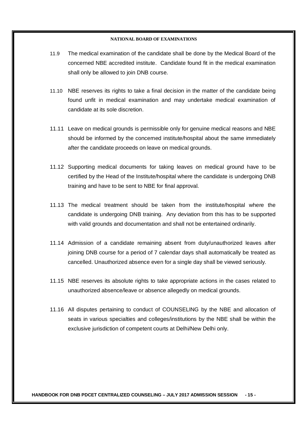- 11.9 The medical examination of the candidate shall be done by the Medical Board of the concerned NBE accredited institute. Candidate found fit in the medical examination shall only be allowed to join DNB course.
- 11.10 NBE reserves its rights to take a final decision in the matter of the candidate being found unfit in medical examination and may undertake medical examination of candidate at its sole discretion.
- 11.11 Leave on medical grounds is permissible only for genuine medical reasons and NBE should be informed by the concerned institute/hospital about the same immediately after the candidate proceeds on leave on medical grounds.
- 11.12 Supporting medical documents for taking leaves on medical ground have to be certified by the Head of the Institute/hospital where the candidate is undergoing DNB training and have to be sent to NBE for final approval.
- 11.13 The medical treatment should be taken from the institute/hospital where the candidate is undergoing DNB training. Any deviation from this has to be supported with valid grounds and documentation and shall not be entertained ordinarily.
- 11.14 Admission of a candidate remaining absent from duty/unauthorized leaves after joining DNB course for a period of 7 calendar days shall automatically be treated as cancelled. Unauthorized absence even for a single day shall be viewed seriously.
- 11.15 NBE reserves its absolute rights to take appropriate actions in the cases related to unauthorized absence/leave or absence allegedly on medical grounds.
- 11.16 All disputes pertaining to conduct of COUNSELING by the NBE and allocation of seats in various specialties and colleges/institutions by the NBE shall be within the exclusive jurisdiction of competent courts at Delhi/New Delhi only.

**HANDBOOK FOR DNB PDCET CENTRALIZED COUNSELING – JULY 2017 ADMISSION SESSION - 15 -**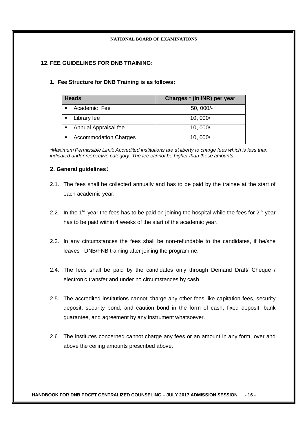## **12. FEE GUIDELINES FOR DNB TRAINING:**

## **1. Fee Structure for DNB Training is as follows:**

| <b>Heads</b>                      | Charges * (in INR) per year |
|-----------------------------------|-----------------------------|
| Academic Fee<br>$\blacksquare$    | $50,000/-$                  |
| Library fee                       | 10,000/                     |
| Annual Appraisal fee<br>٠         | 10,000/                     |
| <b>Accommodation Charges</b><br>٠ | 10,000/                     |

*\*Maximum Permissible Limit: Accredited institutions are at liberty to charge fees which is less than indicated under respective category. The fee cannot be higher than these amounts.*

## **2. General guidelines:**

- 2.1. The fees shall be collected annually and has to be paid by the trainee at the start of each academic year.
- 2.2. In the 1<sup>st</sup> year the fees has to be paid on joining the hospital while the fees for 2<sup>nd</sup> year has to be paid within 4 weeks of the start of the academic year.
- 2.3. In any circumstances the fees shall be non-refundable to the candidates, if he/she leaves DNB/FNB training after joining the programme.
- 2.4. The fees shall be paid by the candidates only through Demand Draft/ Cheque / electronic transfer and under no circumstances by cash.
- 2.5. The accredited institutions cannot charge any other fees like capitation fees, security deposit, security bond, and caution bond in the form of cash, fixed deposit, bank guarantee, and agreement by any instrument whatsoever.
- 2.6. The institutes concerned cannot charge any fees or an amount in any form, over and above the ceiling amounts prescribed above.

**HANDBOOK FOR DNB PDCET CENTRALIZED COUNSELING – JULY 2017 ADMISSION SESSION - 16 -**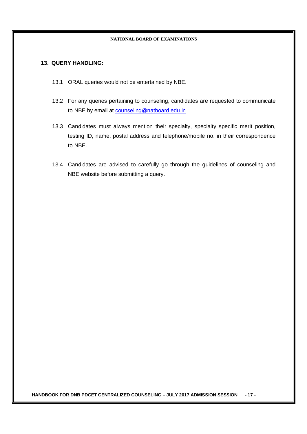## **13. QUERY HANDLING:**

- 13.1 ORAL queries would not be entertained by NBE.
- 13.2 For any queries pertaining to counseling, candidates are requested to communicate to NBE by email at counseling@natboard.edu.in
- 13.3 Candidates must always mention their specialty, specialty specific merit position, testing ID, name, postal address and telephone/mobile no. in their correspondence to NBE.
- 13.4 Candidates are advised to carefully go through the guidelines of counseling and NBE website before submitting a query.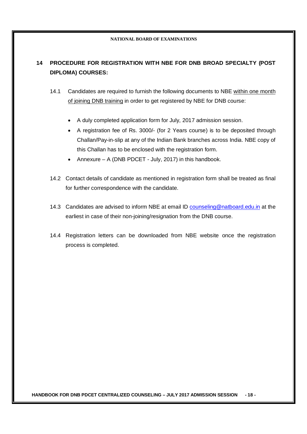## **14 PROCEDURE FOR REGISTRATION WITH NBE FOR DNB BROAD SPECIALTY (POST DIPLOMA) COURSES:**

- 14.1 Candidates are required to furnish the following documents to NBE within one month of joining DNB training in order to get registered by NBE for DNB course:
	- A duly completed application form for July, 2017 admission session.
	- A registration fee of Rs. 3000/- (for 2 Years course) is to be deposited through Challan/Pay-in-slip at any of the Indian Bank branches across India. NBE copy of this Challan has to be enclosed with the registration form.
	- Annexure A (DNB PDCET July, 2017) in this handbook.
- 14.2 Contact details of candidate as mentioned in registration form shall be treated as final for further correspondence with the candidate.
- 14.3 Candidates are advised to inform NBE at email ID counseling@natboard.edu.in at the earliest in case of their non-joining/resignation from the DNB course.
- 14.4 Registration letters can be downloaded from NBE website once the registration process is completed.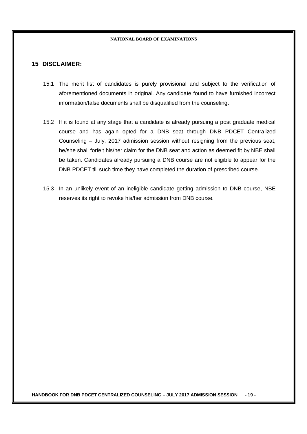## **15 DISCLAIMER:**

- 15.1 The merit list of candidates is purely provisional and subject to the verification of aforementioned documents in original. Any candidate found to have furnished incorrect information/false documents shall be disqualified from the counseling.
- 15.2 If it is found at any stage that a candidate is already pursuing a post graduate medical course and has again opted for a DNB seat through DNB PDCET Centralized Counseling – July, 2017 admission session without resigning from the previous seat, he/she shall forfeit his/her claim for the DNB seat and action as deemed fit by NBE shall be taken. Candidates already pursuing a DNB course are not eligible to appear for the DNB PDCET till such time they have completed the duration of prescribed course.
- 15.3 In an unlikely event of an ineligible candidate getting admission to DNB course, NBE reserves its right to revoke his/her admission from DNB course.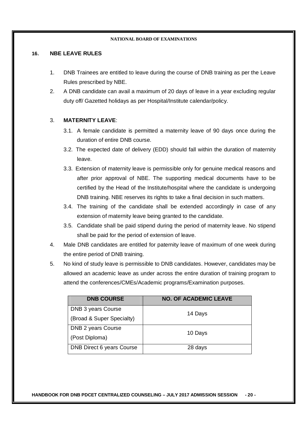## **16. NBE LEAVE RULES**

- 1. DNB Trainees are entitled to leave during the course of DNB training as per the Leave Rules prescribed by NBE.
- 2. A DNB candidate can avail a maximum of 20 days of leave in a year excluding regular duty off/ Gazetted holidays as per Hospital/Institute calendar/policy.

## 3. **MATERNITY LEAVE**:

- 3.1. A female candidate is permitted a maternity leave of 90 days once during the duration of entire DNB course.
- 3.2. The expected date of delivery (EDD) should fall within the duration of maternity leave.
- 3.3. Extension of maternity leave is permissible only for genuine medical reasons and after prior approval of NBE. The supporting medical documents have to be certified by the Head of the Institute/hospital where the candidate is undergoing DNB training. NBE reserves its rights to take a final decision in such matters.
- 3.4. The training of the candidate shall be extended accordingly in case of any extension of maternity leave being granted to the candidate.
- 3.5. Candidate shall be paid stipend during the period of maternity leave. No stipend shall be paid for the period of extension of leave.
- 4. Male DNB candidates are entitled for paternity leave of maximum of one week during the entire period of DNB training.
- 5. No kind of study leave is permissible to DNB candidates. However, candidates may be allowed an academic leave as under across the entire duration of training program to attend the conferences/CMEs/Academic programs/Examination purposes.

| <b>DNB COURSE</b>                | <b>NO. OF ACADEMIC LEAVE</b> |  |
|----------------------------------|------------------------------|--|
| DNB 3 years Course               | 14 Days                      |  |
| (Broad & Super Specialty)        |                              |  |
| DNB 2 years Course               | 10 Days                      |  |
| (Post Diploma)                   |                              |  |
| <b>DNB Direct 6 years Course</b> | 28 days                      |  |

**HANDBOOK FOR DNB PDCET CENTRALIZED COUNSELING – JULY 2017 ADMISSION SESSION - 20 -**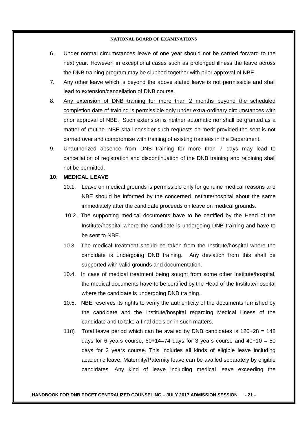- 6. Under normal circumstances leave of one year should not be carried forward to the next year. However, in exceptional cases such as prolonged illness the leave across the DNB training program may be clubbed together with prior approval of NBE.
- 7. Any other leave which is beyond the above stated leave is not permissible and shall lead to extension/cancellation of DNB course.
- 8. Any extension of DNB training for more than 2 months beyond the scheduled completion date of training is permissible only under extra-ordinary circumstances with prior approval of NBE. Such extension is neither automatic nor shall be granted as a matter of routine. NBE shall consider such requests on merit provided the seat is not carried over and compromise with training of existing trainees in the Department.
- 9. Unauthorized absence from DNB training for more than 7 days may lead to cancellation of registration and discontinuation of the DNB training and rejoining shall not be permitted.

## **10. MEDICAL LEAVE**

- 10.1. Leave on medical grounds is permissible only for genuine medical reasons and NBE should be informed by the concerned Institute/hospital about the same immediately after the candidate proceeds on leave on medical grounds.
- 10.2. The supporting medical documents have to be certified by the Head of the Institute/hospital where the candidate is undergoing DNB training and have to be sent to NBE.
- 10.3. The medical treatment should be taken from the Institute/hospital where the candidate is undergoing DNB training. Any deviation from this shall be supported with valid grounds and documentation.
- 10.4. In case of medical treatment being sought from some other Institute/hospital, the medical documents have to be certified by the Head of the Institute/hospital where the candidate is undergoing DNB training.
- 10.5. NBE reserves its rights to verify the authenticity of the documents furnished by the candidate and the Institute/hospital regarding Medical illness of the candidate and to take a final decision in such matters.
- 11(i) Total leave period which can be availed by DNB candidates is  $120+28 = 148$ days for 6 years course,  $60+14=74$  days for 3 years course and  $40+10 = 50$ days for 2 years course. This includes all kinds of eligible leave including academic leave. Maternity/Paternity leave can be availed separately by eligible candidates. Any kind of leave including medical leave exceeding the

#### **HANDBOOK FOR DNB PDCET CENTRALIZED COUNSELING – JULY 2017 ADMISSION SESSION - 21 -**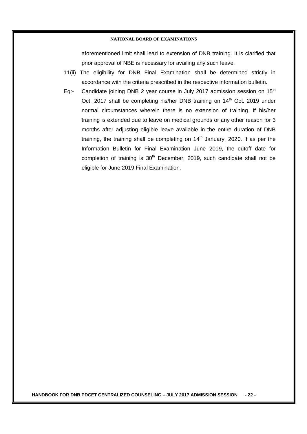aforementioned limit shall lead to extension of DNB training. It is clarified that prior approval of NBE is necessary for availing any such leave.

- 11(ii) The eligibility for DNB Final Examination shall be determined strictly in accordance with the criteria prescribed in the respective information bulletin.
- Eg:- Candidate joining DNB 2 year course in July 2017 admission session on  $15<sup>th</sup>$ Oct, 2017 shall be completing his/her DNB training on 14<sup>th</sup> Oct. 2019 under normal circumstances wherein there is no extension of training. If his/her training is extended due to leave on medical grounds or any other reason for 3 months after adjusting eligible leave available in the entire duration of DNB training, the training shall be completing on  $14<sup>th</sup>$  January, 2020. If as per the Information Bulletin for Final Examination June 2019, the cutoff date for completion of training is 30<sup>th</sup> December, 2019, such candidate shall not be eligible for June 2019 Final Examination.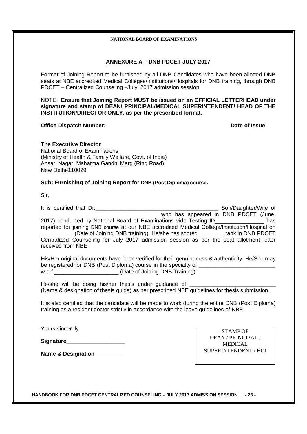## **ANNEXURE A – DNB PDCET JULY 2017**

Format of Joining Report to be furnished by all DNB Candidates who have been allotted DNB seats at NBE accredited Medical Colleges/Institutions/Hospitals for DNB training, through DNB PDCET – Centralized Counseling –July, 2017 admission session

NOTE: **Ensure that Joining Report MUST be issued on an OFFICIAL LETTERHEAD under signature and stamp of DEAN/ PRINCIPAL/MEDICAL SUPERINTENDENT/ HEAD OF THE INSTITUTION/DIRECTOR ONLY, as per the prescribed format.**

#### **Office Dispatch Number:**  $\bullet$  **Date of Issue: Date of Issue:**

**The Executive Director** National Board of Examinations (Ministry of Health & Family Welfare, Govt. of India) Ansari Nagar, Mahatma Gandhi Marg (Ring Road) New Delhi-110029

#### **Sub: Furnishing of Joining Report for DNB (Post Diploma) course.**

Sir,

It is certified that Dr.\_\_\_\_\_\_\_\_\_\_\_\_\_\_\_\_\_\_\_\_\_\_\_\_\_\_\_\_\_\_\_\_\_\_\_\_\_\_\_\_ Son/Daughter/Wife of \_\_\_\_\_\_\_\_\_\_\_\_\_\_\_\_\_\_\_\_\_\_\_\_\_\_\_\_\_\_\_\_\_\_\_\_\_\_ who has appeared in DNB PDCET (June, 2017) conducted by National Board of Examinations vide Testing ID\_\_\_\_\_\_\_\_\_\_\_\_\_\_\_\_ has reported for joining DNB course at our NBE accredited Medical College/Institution/Hospital on \_\_\_\_\_\_\_\_\_\_\_(Date of Joining DNB training). He/she has scored \_\_\_\_\_\_\_\_ rank in DNB PDCET Centralized Counseling for July 2017 admission session as per the seat allotment letter received from NBE.

His/Her original documents have been verified for their genuineness & authenticity. He/She may be registered for DNB (Post Diploma) course in the specialty of \_\_\_\_\_\_\_\_\_\_\_\_\_\_\_\_ w.e.f \_\_\_\_\_\_\_\_\_\_\_\_\_\_\_\_\_\_\_\_\_\_\_\_(Date of Joining DNB Training).

He/she will be doing his/her thesis under guidance of (Name & designation of thesis guide) as per prescribed NBE guidelines for thesis submission.

It is also certified that the candidate will be made to work during the entire DNB (Post Diploma) training as a resident doctor strictly in accordance with the leave guidelines of NBE.

Yours sincerely

**Signature** 

**Name & Designation** 

STAMP OF DEAN / PRINCIPAL / MEDICAL SUPERINTENDENT / HOI

**HANDBOOK FOR DNB PDCET CENTRALIZED COUNSELING – JULY 2017 ADMISSION SESSION - 23 -**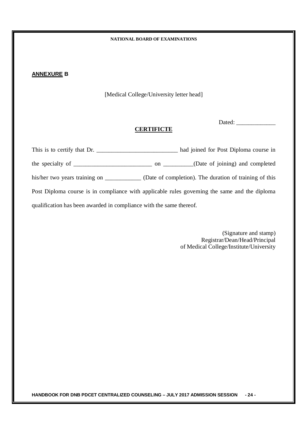## **ANNEXURE B**

[Medical College/University letter head]

Dated:

## **CERTIFICTE**

| This is to certify that Dr.                                         | had joined for Post Diploma course in                                                              |
|---------------------------------------------------------------------|----------------------------------------------------------------------------------------------------|
|                                                                     |                                                                                                    |
|                                                                     | his/her two years training on _____________ (Date of completion). The duration of training of this |
|                                                                     | Post Diploma course is in compliance with applicable rules governing the same and the diploma      |
| qualification has been awarded in compliance with the same thereof. |                                                                                                    |

(Signature and stamp) Registrar/Dean/Head/Principal of Medical College/Institute/University

**HANDBOOK FOR DNB PDCET CENTRALIZED COUNSELING – JULY 2017 ADMISSION SESSION - 24 -**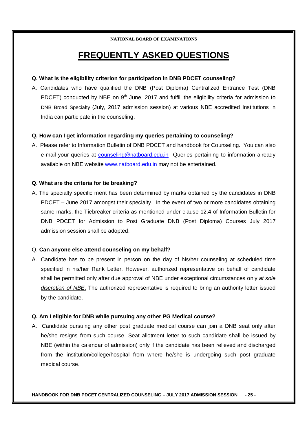# **FREQUENTLY ASKED QUESTIONS**

## **Q. What is the eligibility criterion for participation in DNB PDCET counseling?**

A. Candidates who have qualified the DNB (Post Diploma) Centralized Entrance Test (DNB PDCET) conducted by NBE on  $9<sup>th</sup>$  June, 2017 and fulfill the eligibility criteria for admission to DNB Broad Specialty (July, 2017 admission session) at various NBE accredited Institutions in India can participate in the counseling.

## **Q. How can I get information regarding my queries pertaining to counseling?**

A. Please refer to Information Bulletin of DNB PDCET and handbook for Counseling. You can also e-mail your queries at counseling@natboard.edu.in Queries pertaining to information already available on NBE website www.natboard.edu.in may not be entertained.

## **Q. What are the criteria for tie breaking?**

A. The specialty specific merit has been determined by marks obtained by the candidates in DNB PDCET – June 2017 amongst their specialty. In the event of two or more candidates obtaining same marks, the Tiebreaker criteria as mentioned under clause 12.4 of Information Bulletin for DNB PDCET for Admission to Post Graduate DNB (Post Diploma) Courses July 2017 admission session shall be adopted.

## Q. **Can anyone else attend counseling on my behalf?**

A. Candidate has to be present in person on the day of his/her counseling at scheduled time specified in his/her Rank Letter. However, authorized representative on behalf of candidate shall be permitted only after due approval of NBE under exceptional circumstances only *at sole discretion of NBE*. The authorized representative is required to bring an authority letter issued by the candidate.

## **Q. Am I eligible for DNB while pursuing any other PG Medical course?**

A. Candidate pursuing any other post graduate medical course can join a DNB seat only after he/she resigns from such course. Seat allotment letter to such candidate shall be issued by NBE (within the calendar of admission) only if the candidate has been relieved and discharged from the institution/college/hospital from where he/she is undergoing such post graduate medical course.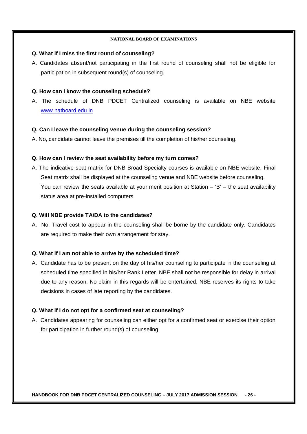## **Q. What if I miss the first round of counseling?**

A. Candidates absent/not participating in the first round of counseling shall not be eligible for participation in subsequent round(s) of counseling.

## **Q. How can I know the counseling schedule?**

A. The schedule of DNB PDCET Centralized counseling is available on NBE website www.natboard.edu.in

## **Q. Can I leave the counseling venue during the counseling session?**

A. No, candidate cannot leave the premises till the completion of his/her counseling.

## **Q. How can I review the seat availability before my turn comes?**

A. The indicative seat matrix for DNB Broad Specialty courses is available on NBE website. Final Seat matrix shall be displayed at the counseling venue and NBE website before counseling. You can review the seats available at your merit position at Station – 'B' – the seat availability status area at pre-installed computers.

## **Q. Will NBE provide TA/DA to the candidates?**

A. No, Travel cost to appear in the counseling shall be borne by the candidate only. Candidates are required to make their own arrangement for stay.

## **Q. What if I am not able to arrive by the scheduled time?**

A. Candidate has to be present on the day of his/her counseling to participate in the counseling at scheduled time specified in his/her Rank Letter. NBE shall not be responsible for delay in arrival due to any reason. No claim in this regards will be entertained. NBE reserves its rights to take decisions in cases of late reporting by the candidates.

## **Q. What if I do not opt for a confirmed seat at counseling?**

A. Candidates appearing for counseling can either opt for a confirmed seat or exercise their option for participation in further round(s) of counseling.

**HANDBOOK FOR DNB PDCET CENTRALIZED COUNSELING – JULY 2017 ADMISSION SESSION - 26 -**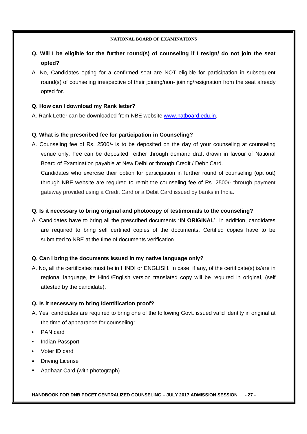- **Q. Will I be eligible for the further round(s) of counseling if I resign/ do not join the seat opted?**
- A. No, Candidates opting for a confirmed seat are NOT eligible for participation in subsequent round(s) of counseling irrespective of their joining/non- joining/resignation from the seat already opted for.

## **Q. How can I download my Rank letter?**

A. Rank Letter can be downloaded from NBE website www.natboard.edu.in.

## **Q. What is the prescribed fee for participation in Counseling?**

A. Counseling fee of Rs. 2500/- is to be deposited on the day of your counseling at counseling venue only. Fee can be deposited either through demand draft drawn in favour of National Board of Examination payable at New Delhi or through Credit / Debit Card. Candidates who exercise their option for participation in further round of counseling (opt out) through NBE website are required to remit the counseling fee of Rs. 2500/- through payment

gateway provided using a Credit Card or a Debit Card issued by banks in India.

## **Q. Is it necessary to bring original and photocopy of testimonials to the counseling?**

A. Candidates have to bring all the prescribed documents **'IN ORIGINAL'**. In addition, candidates are required to bring self certified copies of the documents. Certified copies have to be submitted to NBE at the time of documents verification.

## **Q. Can I bring the documents issued in my native language only?**

A. No, all the certificates must be in HINDI or ENGLISH. In case, if any, of the certificate(s) is/are in regional language, its Hindi/English version translated copy will be required in original, (self attested by the candidate).

## **Q. Is it necessary to bring Identification proof?**

- A. Yes, candidates are required to bring one of the following Govt. issued valid identity in original at the time of appearance for counseling:
- PAN card
- Indian Passport
- Voter ID card
- Driving License
- Aadhaar Card (with photograph)

**HANDBOOK FOR DNB PDCET CENTRALIZED COUNSELING – JULY 2017 ADMISSION SESSION - 27 -**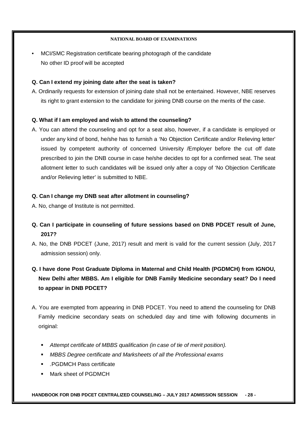• MCI/SMC Registration certificate bearing photograph of the candidate No other ID proof will be accepted

## **Q. Can I extend my joining date after the seat is taken?**

A. Ordinarily requests for extension of joining date shall not be entertained. However, NBE reserves its right to grant extension to the candidate for joining DNB course on the merits of the case.

## **Q. What if I am employed and wish to attend the counseling?**

A. You can attend the counseling and opt for a seat also, however, if a candidate is employed or under any kind of bond, he/she has to furnish a 'No Objection Certificate and/or Relieving letter' issued by competent authority of concerned University /Employer before the cut off date prescribed to join the DNB course in case he/she decides to opt for a confirmed seat. The seat allotment letter to such candidates will be issued only after a copy of 'No Objection Certificate and/or Relieving letter' is submitted to NBE.

## **Q. Can I change my DNB seat after allotment in counseling?**

- A. No, change of Institute is not permitted.
- **Q. Can I participate in counseling of future sessions based on DNB PDCET result of June, 2017?**
- A. No, the DNB PDCET (June, 2017) result and merit is valid for the current session (July, 2017 admission session) only.
- **Q. I have done Post Graduate Diploma in Maternal and Child Health (PGDMCH) from IGNOU, New Delhi after MBBS. Am I eligible for DNB Family Medicine secondary seat? Do I need to appear in DNB PDCET?**
- A. You are exempted from appearing in DNB PDCET. You need to attend the counseling for DNB Family medicine secondary seats on scheduled day and time with following documents in original:
	- *Attempt certificate of MBBS qualification (in case of tie of merit position).*
	- *MBBS Degree certificate and Marksheets of all the Professional exams*
	- *.*PGDMCH Pass certificate
	- Mark sheet of PGDMCH

## **HANDBOOK FOR DNB PDCET CENTRALIZED COUNSELING – JULY 2017 ADMISSION SESSION - 28 -**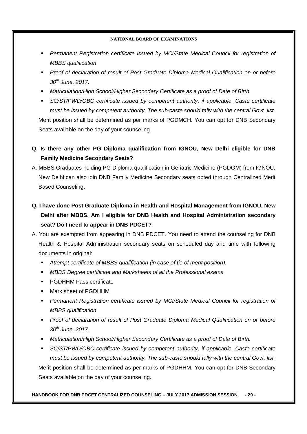- *Permanent Registration certificate issued by MCI/State Medical Council for registration of MBBS qualification*
- **Proof of declaration of result of Post Graduate Diploma Medical Qualification on or before** *30th June, 2017.*
- *Matriculation/High School/Higher Secondary Certificate as a proof of Date of Birth.*
- *SC/ST/PWD/OBC certificate issued by competent authority, if applicable. Caste certificate must be issued by competent authority. The sub-caste should tally with the central Govt. list.*  Merit position shall be determined as per marks of PGDMCH. You can opt for DNB Secondary Seats available on the day of your counseling.
- **Q. Is there any other PG Diploma qualification from IGNOU, New Delhi eligible for DNB Family Medicine Secondary Seats?**
- A. MBBS Graduates holding PG Diploma qualification in Geriatric Medicine (PGDGM) from IGNOU, New Delhi can also join DNB Family Medicine Secondary seats opted through Centralized Merit Based Counseling.
- **Q. I have done Post Graduate Diploma in Health and Hospital Management from IGNOU, New Delhi after MBBS. Am I eligible for DNB Health and Hospital Administration secondary seat? Do I need to appear in DNB PDCET?**
- A. You are exempted from appearing in DNB PDCET. You need to attend the counseling for DNB Health & Hospital Administration secondary seats on scheduled day and time with following documents in original:
	- *Attempt certificate of MBBS qualification (in case of tie of merit position).*
	- *MBBS Degree certificate and Marksheets of all the Professional exams*
	- PGDHHM Pass certificate
	- Mark sheet of PGDHHM
	- **Permanent Registration certificate issued by MCI/State Medical Council for registration of** *MBBS qualification*
	- **Proof of declaration of result of Post Graduate Diploma Medical Qualification on or before** *30th June, 2017.*
	- *Matriculation/High School/Higher Secondary Certificate as a proof of Date of Birth.*
	- *SC/ST/PWD/OBC certificate issued by competent authority, if applicable. Caste certificate must be issued by competent authority. The sub-caste should tally with the central Govt. list.*  Merit position shall be determined as per marks of PGDHHM. You can opt for DNB Secondary Seats available on the day of your counseling.

**HANDBOOK FOR DNB PDCET CENTRALIZED COUNSELING – JULY 2017 ADMISSION SESSION - 29 -**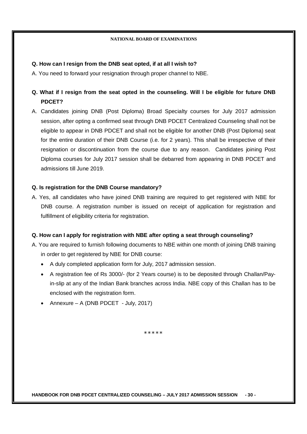## **Q. How can I resign from the DNB seat opted, if at all I wish to?**

A. You need to forward your resignation through proper channel to NBE.

## **Q. What if I resign from the seat opted in the counseling. Will I be eligible for future DNB PDCET?**

A. Candidates joining DNB (Post Diploma) Broad Specialty courses for July 2017 admission session, after opting a confirmed seat through DNB PDCET Centralized Counseling shall not be eligible to appear in DNB PDCET and shall not be eligible for another DNB (Post Diploma) seat for the entire duration of their DNB Course (i.e. for 2 years). This shall be irrespective of their resignation or discontinuation from the course due to any reason. Candidates joining Post Diploma courses for July 2017 session shall be debarred from appearing in DNB PDCET and admissions till June 2019.

## **Q. Is registration for the DNB Course mandatory?**

A. Yes, all candidates who have joined DNB training are required to get registered with NBE for DNB course. A registration number is issued on receipt of application for registration and fulfillment of eligibility criteria for registration.

## **Q. How can I apply for registration with NBE after opting a seat through counseling?**

- A. You are required to furnish following documents to NBE within one month of joining DNB training in order to get registered by NBE for DNB course:
	- A duly completed application form for July, 2017 admission session.
	- A registration fee of Rs 3000/- (for 2 Years course) is to be deposited through Challan/Payin-slip at any of the Indian Bank branches across India. NBE copy of this Challan has to be enclosed with the registration form.
	- Annexure A (DNB PDCET July, 2017)

\*\*\*\*\*

**HANDBOOK FOR DNB PDCET CENTRALIZED COUNSELING – JULY 2017 ADMISSION SESSION - 30 -**